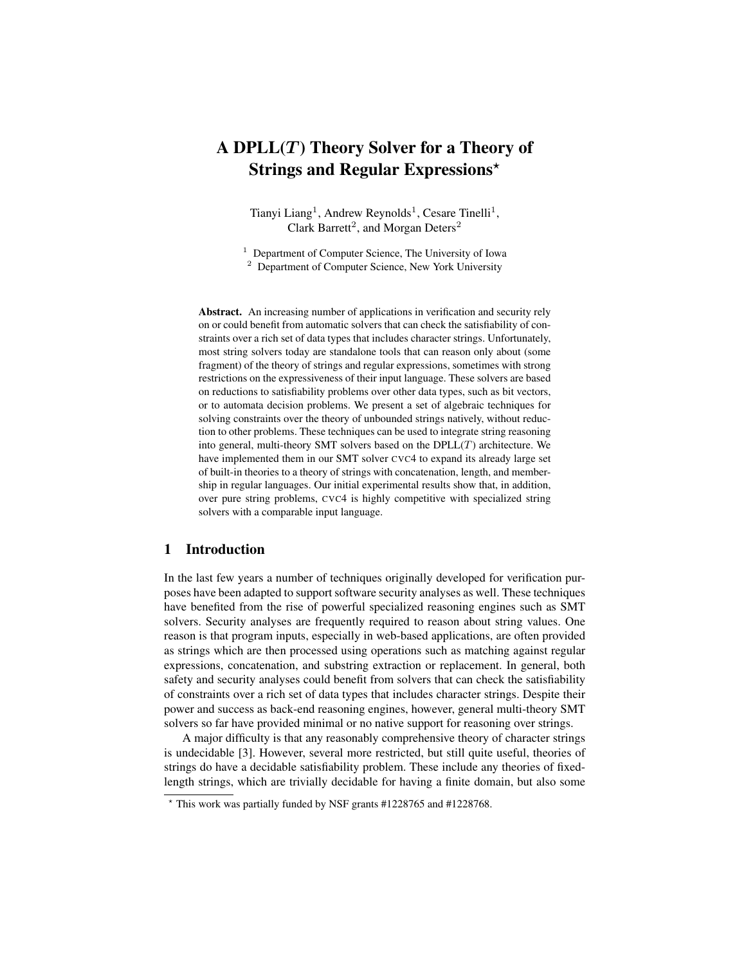# A DPL $L(T)$  Theory Solver for a Theory of Strings and Regular Expressions\*

Tianyi Liang<sup>1</sup>, Andrew Reynolds<sup>1</sup>, Cesare Tinelli<sup>1</sup>, Clark Barrett<sup>2</sup>, and Morgan Deters<sup>2</sup>

<sup>1</sup> Department of Computer Science, The University of Iowa <sup>2</sup> Department of Computer Science, New York University

Abstract. An increasing number of applications in verification and security rely on or could benefit from automatic solvers that can check the satisfiability of constraints over a rich set of data types that includes character strings. Unfortunately, most string solvers today are standalone tools that can reason only about (some fragment) of the theory of strings and regular expressions, sometimes with strong restrictions on the expressiveness of their input language. These solvers are based on reductions to satisfiability problems over other data types, such as bit vectors, or to automata decision problems. We present a set of algebraic techniques for solving constraints over the theory of unbounded strings natively, without reduction to other problems. These techniques can be used to integrate string reasoning into general, multi-theory SMT solvers based on the  $DPLL(T)$  architecture. We have implemented them in our SMT solver CVC4 to expand its already large set of built-in theories to a theory of strings with concatenation, length, and membership in regular languages. Our initial experimental results show that, in addition, over pure string problems, CVC4 is highly competitive with specialized string solvers with a comparable input language.

## 1 Introduction

In the last few years a number of techniques originally developed for verification purposes have been adapted to support software security analyses as well. These techniques have benefited from the rise of powerful specialized reasoning engines such as SMT solvers. Security analyses are frequently required to reason about string values. One reason is that program inputs, especially in web-based applications, are often provided as strings which are then processed using operations such as matching against regular expressions, concatenation, and substring extraction or replacement. In general, both safety and security analyses could benefit from solvers that can check the satisfiability of constraints over a rich set of data types that includes character strings. Despite their power and success as back-end reasoning engines, however, general multi-theory SMT solvers so far have provided minimal or no native support for reasoning over strings.

A major difficulty is that any reasonably comprehensive theory of character strings is undecidable [3]. However, several more restricted, but still quite useful, theories of strings do have a decidable satisfiability problem. These include any theories of fixedlength strings, which are trivially decidable for having a finite domain, but also some

<sup>?</sup> This work was partially funded by NSF grants #1228765 and #1228768.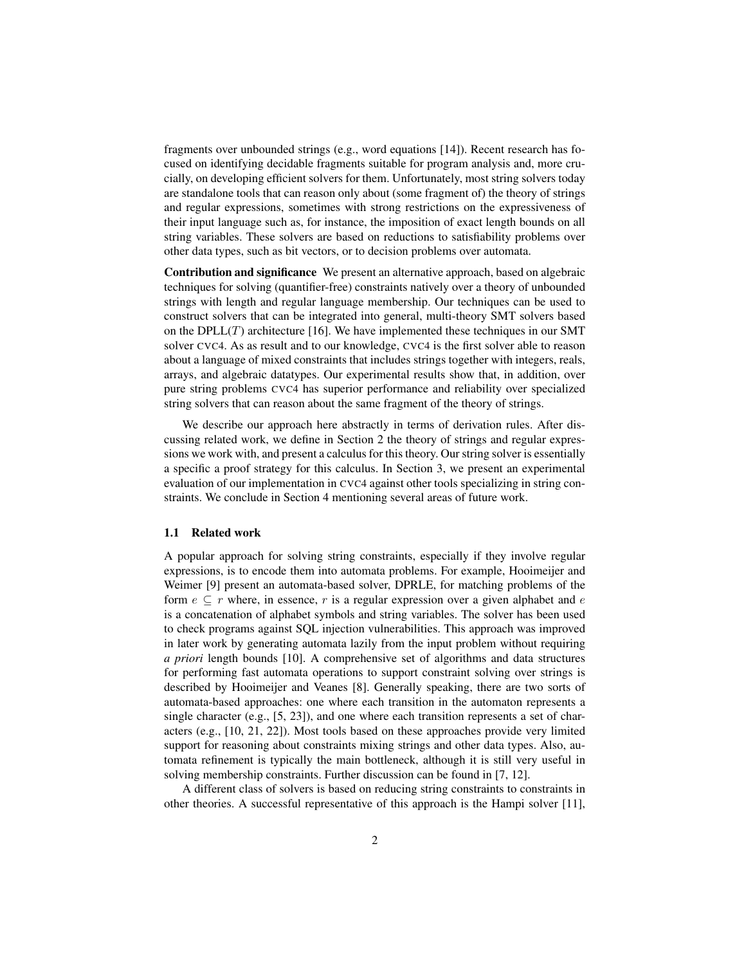fragments over unbounded strings (e.g., word equations [14]). Recent research has focused on identifying decidable fragments suitable for program analysis and, more crucially, on developing efficient solvers for them. Unfortunately, most string solvers today are standalone tools that can reason only about (some fragment of) the theory of strings and regular expressions, sometimes with strong restrictions on the expressiveness of their input language such as, for instance, the imposition of exact length bounds on all string variables. These solvers are based on reductions to satisfiability problems over other data types, such as bit vectors, or to decision problems over automata.

Contribution and significance We present an alternative approach, based on algebraic techniques for solving (quantifier-free) constraints natively over a theory of unbounded strings with length and regular language membership. Our techniques can be used to construct solvers that can be integrated into general, multi-theory SMT solvers based on the DPLL $(T)$  architecture [16]. We have implemented these techniques in our SMT solver CVC4. As as result and to our knowledge, CVC4 is the first solver able to reason about a language of mixed constraints that includes strings together with integers, reals, arrays, and algebraic datatypes. Our experimental results show that, in addition, over pure string problems CVC4 has superior performance and reliability over specialized string solvers that can reason about the same fragment of the theory of strings.

We describe our approach here abstractly in terms of derivation rules. After discussing related work, we define in Section 2 the theory of strings and regular expressions we work with, and present a calculus for this theory. Our string solver is essentially a specific a proof strategy for this calculus. In Section 3, we present an experimental evaluation of our implementation in CVC4 against other tools specializing in string constraints. We conclude in Section 4 mentioning several areas of future work.

#### 1.1 Related work

A popular approach for solving string constraints, especially if they involve regular expressions, is to encode them into automata problems. For example, Hooimeijer and Weimer [9] present an automata-based solver, DPRLE, for matching problems of the form  $e \subseteq r$  where, in essence, r is a regular expression over a given alphabet and e is a concatenation of alphabet symbols and string variables. The solver has been used to check programs against SQL injection vulnerabilities. This approach was improved in later work by generating automata lazily from the input problem without requiring *a priori* length bounds [10]. A comprehensive set of algorithms and data structures for performing fast automata operations to support constraint solving over strings is described by Hooimeijer and Veanes [8]. Generally speaking, there are two sorts of automata-based approaches: one where each transition in the automaton represents a single character (e.g., [5, 23]), and one where each transition represents a set of characters (e.g., [10, 21, 22]). Most tools based on these approaches provide very limited support for reasoning about constraints mixing strings and other data types. Also, automata refinement is typically the main bottleneck, although it is still very useful in solving membership constraints. Further discussion can be found in [7, 12].

A different class of solvers is based on reducing string constraints to constraints in other theories. A successful representative of this approach is the Hampi solver [11],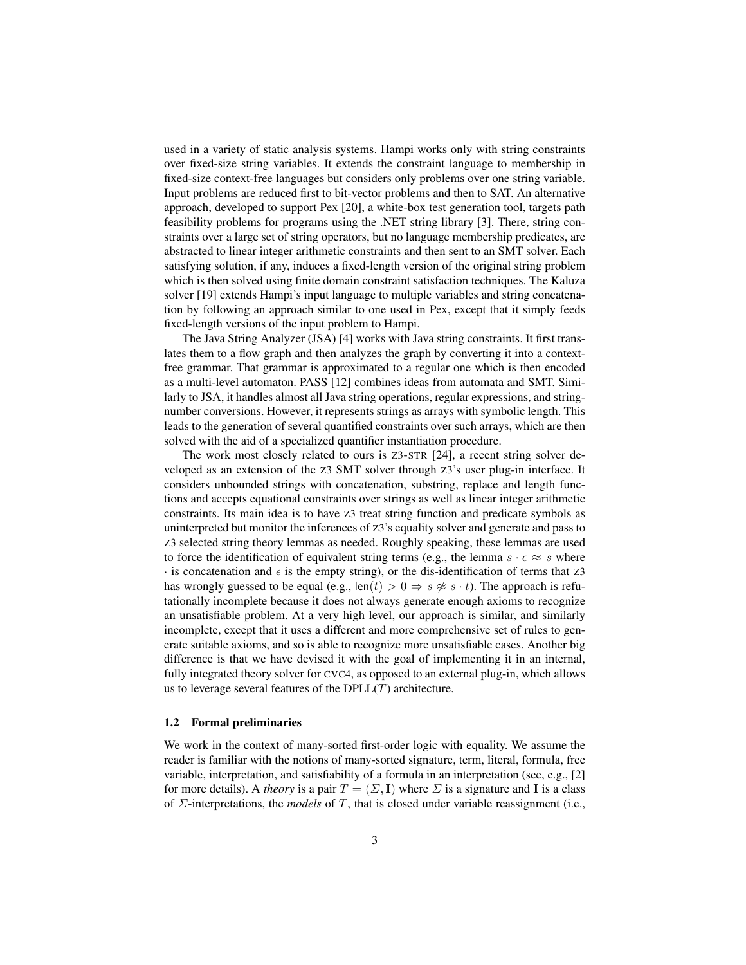used in a variety of static analysis systems. Hampi works only with string constraints over fixed-size string variables. It extends the constraint language to membership in fixed-size context-free languages but considers only problems over one string variable. Input problems are reduced first to bit-vector problems and then to SAT. An alternative approach, developed to support Pex [20], a white-box test generation tool, targets path feasibility problems for programs using the .NET string library [3]. There, string constraints over a large set of string operators, but no language membership predicates, are abstracted to linear integer arithmetic constraints and then sent to an SMT solver. Each satisfying solution, if any, induces a fixed-length version of the original string problem which is then solved using finite domain constraint satisfaction techniques. The Kaluza solver [19] extends Hampi's input language to multiple variables and string concatenation by following an approach similar to one used in Pex, except that it simply feeds fixed-length versions of the input problem to Hampi.

The Java String Analyzer (JSA) [4] works with Java string constraints. It first translates them to a flow graph and then analyzes the graph by converting it into a contextfree grammar. That grammar is approximated to a regular one which is then encoded as a multi-level automaton. PASS [12] combines ideas from automata and SMT. Similarly to JSA, it handles almost all Java string operations, regular expressions, and stringnumber conversions. However, it represents strings as arrays with symbolic length. This leads to the generation of several quantified constraints over such arrays, which are then solved with the aid of a specialized quantifier instantiation procedure.

The work most closely related to ours is Z3-STR [24], a recent string solver developed as an extension of the Z3 SMT solver through Z3's user plug-in interface. It considers unbounded strings with concatenation, substring, replace and length functions and accepts equational constraints over strings as well as linear integer arithmetic constraints. Its main idea is to have Z3 treat string function and predicate symbols as uninterpreted but monitor the inferences of Z3's equality solver and generate and pass to Z3 selected string theory lemmas as needed. Roughly speaking, these lemmas are used to force the identification of equivalent string terms (e.g., the lemma  $s \cdot \epsilon \approx s$  where  $\cdot$  is concatenation and  $\epsilon$  is the empty string), or the dis-identification of terms that Z3 has wrongly guessed to be equal (e.g.,  $len(t) > 0 \Rightarrow s \not\approx s \cdot t$ ). The approach is refutationally incomplete because it does not always generate enough axioms to recognize an unsatisfiable problem. At a very high level, our approach is similar, and similarly incomplete, except that it uses a different and more comprehensive set of rules to generate suitable axioms, and so is able to recognize more unsatisfiable cases. Another big difference is that we have devised it with the goal of implementing it in an internal, fully integrated theory solver for CVC4, as opposed to an external plug-in, which allows us to leverage several features of the  $DPLL(T)$  architecture.

#### 1.2 Formal preliminaries

We work in the context of many-sorted first-order logic with equality. We assume the reader is familiar with the notions of many-sorted signature, term, literal, formula, free variable, interpretation, and satisfiability of a formula in an interpretation (see, e.g., [2] for more details). A *theory* is a pair  $T = (\Sigma, I)$  where  $\Sigma$  is a signature and I is a class of Σ-interpretations, the *models* of T, that is closed under variable reassignment (i.e.,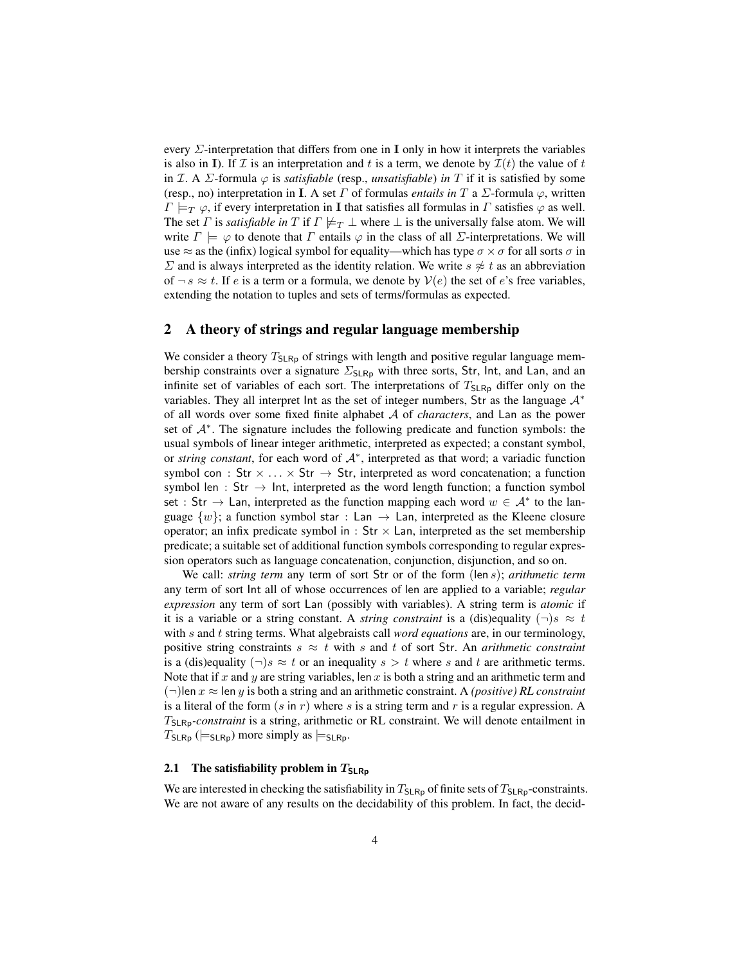every  $\Sigma$ -interpretation that differs from one in I only in how it interprets the variables is also in I). If  $\mathcal I$  is an interpretation and t is a term, we denote by  $\mathcal I(t)$  the value of t in I. A  $\Sigma$ -formula  $\varphi$  is *satisfiable* (resp., *unsatisfiable*) *in* T if it is satisfied by some (resp., no) interpretation in **I**. A set  $\Gamma$  of formulas *entails in*  $T$  a  $\Sigma$ -formula  $\varphi$ , written  $\Gamma \models_T \varphi$ , if every interpretation in **I** that satisfies all formulas in  $\Gamma$  satisfies  $\varphi$  as well. The set *Γ* is *satisfiable in* T if  $\Gamma \not\models_T \bot$  where  $\bot$  is the universally false atom. We will write  $\Gamma \models \varphi$  to denote that  $\Gamma$  entails  $\varphi$  in the class of all  $\Sigma$ -interpretations. We will use  $\approx$  as the (infix) logical symbol for equality—which has type  $\sigma \times \sigma$  for all sorts  $\sigma$  in  $\Sigma$  and is always interpreted as the identity relation. We write  $s \not\approx t$  as an abbreviation of  $\neg s \approx t$ . If e is a term or a formula, we denote by  $V(e)$  the set of e's free variables, extending the notation to tuples and sets of terms/formulas as expected.

## 2 A theory of strings and regular language membership

We consider a theory  $T_{SLRp}$  of strings with length and positive regular language membership constraints over a signature  $\Sigma_{SLRp}$  with three sorts, Str, Int, and Lan, and an infinite set of variables of each sort. The interpretations of  $T_{SLRp}$  differ only on the variables. They all interpret Int as the set of integer numbers, Str as the language  $A^*$ of all words over some fixed finite alphabet A of *characters*, and Lan as the power set of  $A^*$ . The signature includes the following predicate and function symbols: the usual symbols of linear integer arithmetic, interpreted as expected; a constant symbol, or *string constant*, for each word of A<sup>∗</sup> , interpreted as that word; a variadic function symbol con : Str  $\times \ldots \times$  Str  $\rightarrow$  Str, interpreted as word concatenation; a function symbol len : Str  $\rightarrow$  lnt, interpreted as the word length function; a function symbol set : Str  $\rightarrow$  Lan, interpreted as the function mapping each word  $w \in A^*$  to the language  $\{w\}$ ; a function symbol star : Lan  $\rightarrow$  Lan, interpreted as the Kleene closure operator; an infix predicate symbol in :  $Str \times$  Lan, interpreted as the set membership predicate; a suitable set of additional function symbols corresponding to regular expression operators such as language concatenation, conjunction, disjunction, and so on.

We call: *string term* any term of sort Str or of the form (len s); *arithmetic term* any term of sort Int all of whose occurrences of len are applied to a variable; *regular expression* any term of sort Lan (possibly with variables). A string term is *atomic* if it is a variable or a string constant. A *string constraint* is a (dis)equality  $(\neg)s \approx t$ with s and t string terms. What algebraists call *word equations* are, in our terminology, positive string constraints  $s \approx t$  with s and t of sort Str. An *arithmetic constraint* is a (dis)equality  $(\neg)s \approx t$  or an inequality  $s > t$  where s and t are arithmetic terms. Note that if x and y are string variables, len x is both a string and an arithmetic term and  $(\neg)$ len  $x \approx$  len y is both a string and an arithmetic constraint. A *(positive) RL constraint* is a literal of the form  $(s \text{ in } r)$  where s is a string term and r is a regular expression. A TSLRp*-constraint* is a string, arithmetic or RL constraint. We will denote entailment in  $T_{SLRp}$  ( $\models$ SLRp) more simply as  $\models$ SLRp.

#### 2.1 The satisfiability problem in  $T_{SLRp}$

We are interested in checking the satisfiability in  $T_{SLRp}$  of finite sets of  $T_{SLRp}$ -constraints. We are not aware of any results on the decidability of this problem. In fact, the decid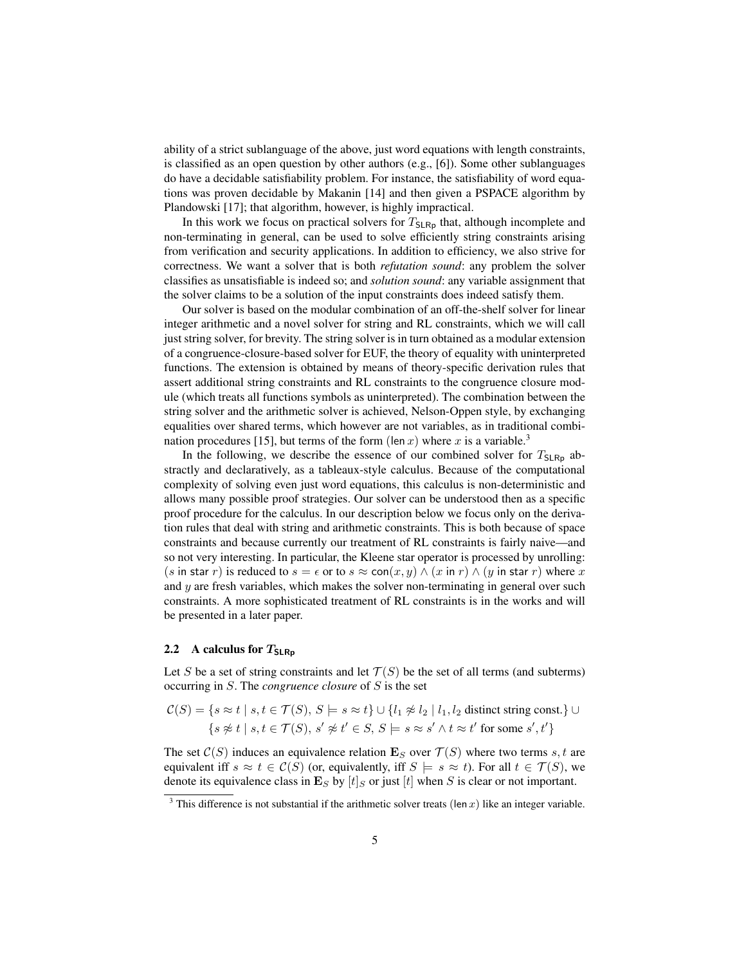ability of a strict sublanguage of the above, just word equations with length constraints, is classified as an open question by other authors (e.g., [6]). Some other sublanguages do have a decidable satisfiability problem. For instance, the satisfiability of word equations was proven decidable by Makanin [14] and then given a PSPACE algorithm by Plandowski [17]; that algorithm, however, is highly impractical.

In this work we focus on practical solvers for  $T_{SLRp}$  that, although incomplete and non-terminating in general, can be used to solve efficiently string constraints arising from verification and security applications. In addition to efficiency, we also strive for correctness. We want a solver that is both *refutation sound*: any problem the solver classifies as unsatisfiable is indeed so; and *solution sound*: any variable assignment that the solver claims to be a solution of the input constraints does indeed satisfy them.

Our solver is based on the modular combination of an off-the-shelf solver for linear integer arithmetic and a novel solver for string and RL constraints, which we will call just string solver, for brevity. The string solver is in turn obtained as a modular extension of a congruence-closure-based solver for EUF, the theory of equality with uninterpreted functions. The extension is obtained by means of theory-specific derivation rules that assert additional string constraints and RL constraints to the congruence closure module (which treats all functions symbols as uninterpreted). The combination between the string solver and the arithmetic solver is achieved, Nelson-Oppen style, by exchanging equalities over shared terms, which however are not variables, as in traditional combination procedures [15], but terms of the form (len x) where x is a variable.<sup>3</sup>

In the following, we describe the essence of our combined solver for  $T_{SLRp}$  abstractly and declaratively, as a tableaux-style calculus. Because of the computational complexity of solving even just word equations, this calculus is non-deterministic and allows many possible proof strategies. Our solver can be understood then as a specific proof procedure for the calculus. In our description below we focus only on the derivation rules that deal with string and arithmetic constraints. This is both because of space constraints and because currently our treatment of RL constraints is fairly naive—and so not very interesting. In particular, the Kleene star operator is processed by unrolling: (s in star r) is reduced to  $s = \epsilon$  or to  $s \approx \text{con}(x, y) \wedge (x \text{ in } r) \wedge (y \text{ in star } r)$  where x and  $y$  are fresh variables, which makes the solver non-terminating in general over such constraints. A more sophisticated treatment of RL constraints is in the works and will be presented in a later paper.

# 2.2 A calculus for  $T_{SLRp}$

Let S be a set of string constraints and let  $\mathcal{T}(S)$  be the set of all terms (and subterms) occurring in S. The *congruence closure* of S is the set

$$
\mathcal{C}(S) = \{ s \approx t \mid s, t \in \mathcal{T}(S), S \models s \approx t \} \cup \{ l_1 \not\approx l_2 \mid l_1, l_2 \text{ distinct string const.} \} \cup \{ s \not\approx t \mid s, t \in \mathcal{T}(S), s' \not\approx t' \in S, S \models s \approx s' \land t \approx t' \text{ for some } s', t' \}
$$

The set  $\mathcal{C}(S)$  induces an equivalence relation  $\mathbf{E}_S$  over  $\mathcal{T}(S)$  where two terms s, t are equivalent iff  $s \approx t \in \mathcal{C}(S)$  (or, equivalently, iff  $S \models s \approx t$ ). For all  $t \in \mathcal{T}(S)$ , we denote its equivalence class in  $\mathbf{E}_S$  by  $[t]_S$  or just  $[t]$  when S is clear or not important.

<sup>&</sup>lt;sup>3</sup> This difference is not substantial if the arithmetic solver treats (len  $x$ ) like an integer variable.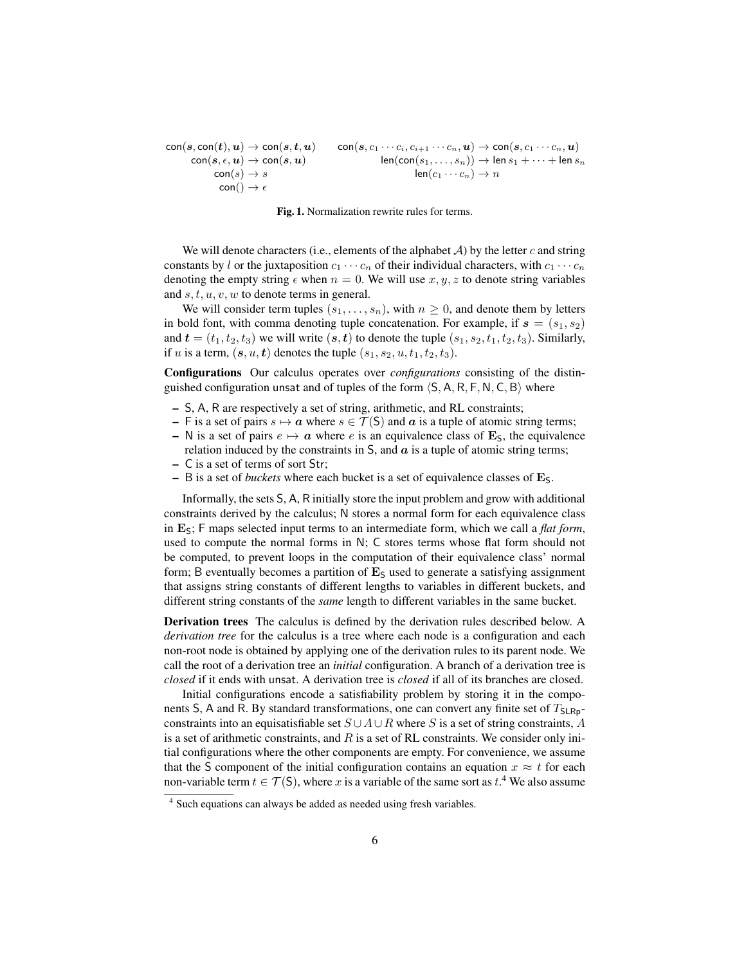$\mathsf{con}(s, \mathsf{con}(t), u) \to \mathsf{con}(s, t, u) \qquad \mathsf{con}(s, c_1 \cdots c_i, c_{i+1} \cdots c_n, u) \to \mathsf{con}(s, c_1 \cdots c_n, u)$  $\mathsf{con}(s, \epsilon, \bm u) \to \mathsf{con}(s, \bm u) \qquad \qquad \mathsf{len}(\mathsf{con}(s_1, \dots, s_n)) \to \mathsf{len}\, s_1 + \dots + \mathsf{len}\, s_n$  $\mathsf{con}(s) \to s$   $\qquad \qquad \mathsf{len}(c_1 \cdots c_n) \to n$  $\mathsf{con}() \to \epsilon$ 

Fig. 1. Normalization rewrite rules for terms.

We will denote characters (i.e., elements of the alphabet  $A$ ) by the letter c and string constants by l or the juxtaposition  $c_1 \cdots c_n$  of their individual characters, with  $c_1 \cdots c_n$ denoting the empty string  $\epsilon$  when  $n = 0$ . We will use x, y, z to denote string variables and  $s, t, u, v, w$  to denote terms in general.

We will consider term tuples  $(s_1, \ldots, s_n)$ , with  $n \geq 0$ , and denote them by letters in bold font, with comma denoting tuple concatenation. For example, if  $s = (s_1, s_2)$ and  $t = (t_1, t_2, t_3)$  we will write  $(s, t)$  to denote the tuple  $(s_1, s_2, t_1, t_2, t_3)$ . Similarly, if u is a term,  $(s, u, t)$  denotes the tuple  $(s_1, s_2, u, t_1, t_2, t_3)$ .

Configurations Our calculus operates over *configurations* consisting of the distinguished configuration unsat and of tuples of the form  $\langle S, A, R, F, N, C, B \rangle$  where

- S, A, R are respectively a set of string, arithmetic, and RL constraints;
- F is a set of pairs  $s \mapsto a$  where  $s \in \mathcal{T}(S)$  and  $a$  is a tuple of atomic string terms;
- N is a set of pairs  $e \mapsto a$  where e is an equivalence class of E<sub>S</sub>, the equivalence relation induced by the constraints in  $S$ , and  $\alpha$  is a tuple of atomic string terms;
- C is a set of terms of sort Str;
- $-$  B is a set of *buckets* where each bucket is a set of equivalence classes of  $\mathbf{E}_5$ .

Informally, the sets S, A, R initially store the input problem and grow with additional constraints derived by the calculus; N stores a normal form for each equivalence class in ES; F maps selected input terms to an intermediate form, which we call a *flat form*, used to compute the normal forms in  $N$ ; C stores terms whose flat form should not be computed, to prevent loops in the computation of their equivalence class' normal form; B eventually becomes a partition of  $\mathbf{E}_5$  used to generate a satisfying assignment that assigns string constants of different lengths to variables in different buckets, and different string constants of the *same* length to different variables in the same bucket.

Derivation trees The calculus is defined by the derivation rules described below. A *derivation tree* for the calculus is a tree where each node is a configuration and each non-root node is obtained by applying one of the derivation rules to its parent node. We call the root of a derivation tree an *initial* configuration. A branch of a derivation tree is *closed* if it ends with unsat. A derivation tree is *closed* if all of its branches are closed.

Initial configurations encode a satisfiability problem by storing it in the components S, A and R. By standard transformations, one can convert any finite set of  $T_{SLRp}$ constraints into an equisatisfiable set  $S \cup A \cup R$  where S is a set of string constraints, A is a set of arithmetic constraints, and  $R$  is a set of RL constraints. We consider only initial configurations where the other components are empty. For convenience, we assume that the S component of the initial configuration contains an equation  $x \approx t$  for each non-variable term  $t \in \mathcal{T}(S)$ , where x is a variable of the same sort as  $t^2$ . We also assume

<sup>&</sup>lt;sup>4</sup> Such equations can always be added as needed using fresh variables.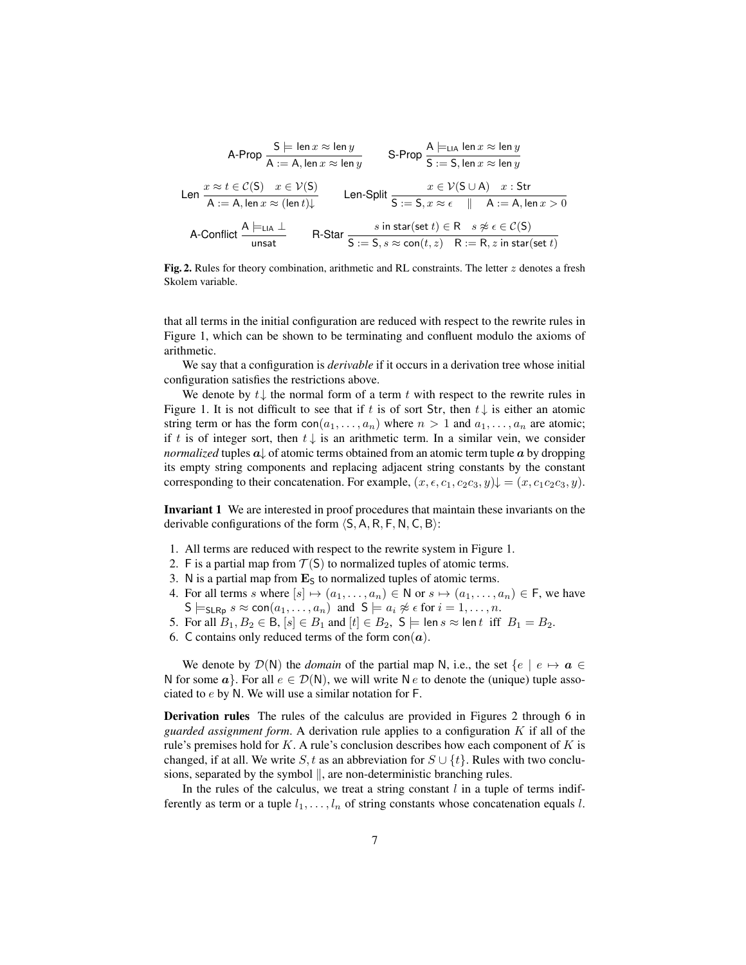$$
\mathsf{A}\text{-Prop} \xrightarrow{\mathsf{S}} \mathsf{len}\,x \approx \mathsf{len}\,y \qquad \mathsf{S}\text{-Prop} \xrightarrow{\mathsf{A} \models_{\mathsf{LIA}} \mathsf{len}\,x \approx \mathsf{len}\,y}
$$
\n
$$
\mathsf{Len} \xrightarrow{\mathsf{x} \approx t \in \mathcal{C}(\mathsf{S})} \mathsf{A} := \mathsf{A}, \mathsf{len}\,x \approx \mathsf{len}\,y \qquad \mathsf{S}\text{-Prop} \xrightarrow{\mathsf{A} \models_{\mathsf{LIA}} \mathsf{len}\,x \approx \mathsf{len}\,y}
$$
\n
$$
\mathsf{Len}\xrightarrow{\mathsf{x} \approx t \in \mathcal{C}(\mathsf{S})} \mathsf{Len}\xrightarrow{\mathsf{x} \in \mathcal{V}(\mathsf{S})} \mathsf{Len}\xrightarrow{\mathsf{x} \in \mathcal{V}(\mathsf{S} \cup \mathsf{A})} \mathsf{I} := \mathsf{S}, \mathsf{I} \Rightarrow \mathsf{I} \xrightarrow{\mathsf{x} \in \mathcal{V}(\mathsf{S} \cup \mathsf{A})} \mathsf{A} := \mathsf{A}, \mathsf{len}\,x > 0
$$
\n
$$
\mathsf{A}\text{-Conflict} \xrightarrow{\mathsf{A} \models_{\mathsf{LIA}} \bot} \mathsf{R}\text{-}\mathsf{Star} \xrightarrow{\mathsf{s} \text{ in star}(\mathsf{set}\,t) \in \mathsf{R}} \mathsf{s} \nRightarrow \mathsf{R} \in \mathcal{C}(\mathsf{S})
$$
\n
$$
\mathsf{unsat} \qquad \mathsf{S} := \mathsf{S}, \mathsf{s} \approx \mathsf{con}(t, z) \quad \mathsf{R} := \mathsf{R}, \mathsf{z} \text{ in star}(\mathsf{set}\,t)
$$

Fig. 2. Rules for theory combination, arithmetic and RL constraints. The letter  $z$  denotes a fresh Skolem variable.

that all terms in the initial configuration are reduced with respect to the rewrite rules in Figure 1, which can be shown to be terminating and confluent modulo the axioms of arithmetic.

We say that a configuration is *derivable* if it occurs in a derivation tree whose initial configuration satisfies the restrictions above.

We denote by  $t \downarrow$  the normal form of a term t with respect to the rewrite rules in Figure 1. It is not difficult to see that if t is of sort Str, then  $t \downarrow$  is either an atomic string term or has the form  $con(a_1, \ldots, a_n)$  where  $n > 1$  and  $a_1, \ldots, a_n$  are atomic; if t is of integer sort, then  $t \downarrow$  is an arithmetic term. In a similar vein, we consider *normalized* tuples  $a\downarrow$  of atomic terms obtained from an atomic term tuple a by dropping its empty string components and replacing adjacent string constants by the constant corresponding to their concatenation. For example,  $(x, \epsilon, c_1, c_2c_3, y)$  $\downarrow = (x, c_1c_2c_3, y)$ .

Invariant 1 We are interested in proof procedures that maintain these invariants on the derivable configurations of the form  $\langle S, A, R, F, N, C, B \rangle$ :

- 1. All terms are reduced with respect to the rewrite system in Figure 1.
- 2. F is a partial map from  $T(S)$  to normalized tuples of atomic terms.
- 3. N is a partial map from  $\mathbf{E}_\text{S}$  to normalized tuples of atomic terms.
- 4. For all terms s where  $[s] \mapsto (a_1, \ldots, a_n) \in \mathbb{N}$  or  $s \mapsto (a_1, \ldots, a_n) \in \mathbb{F}$ , we have  $S \models_{SLRp} s \approx \text{con}(a_1, \ldots, a_n)$  and  $S \models a_i \not\approx \epsilon \text{ for } i = 1, \ldots, n$ .
- 5. For all  $B_1, B_2 \in \mathsf{B}, [s] \in B_1$  and  $[t] \in B_2$ ,  $\mathsf{S} \models \mathsf{len} s \approx \mathsf{len} t$  iff  $B_1 = B_2$ .
- 6. C contains only reduced terms of the form  $con(a)$ .

We denote by  $\mathcal{D}(N)$  the *domain* of the partial map N, i.e., the set  $\{e \mid e \mapsto a \in$ N for some  $a$ . For all  $e \in \mathcal{D}(\mathbb{N})$ , we will write N e to denote the (unique) tuple associated to  $e$  by N. We will use a similar notation for F.

Derivation rules The rules of the calculus are provided in Figures 2 through 6 in *guarded assignment form*. A derivation rule applies to a configuration K if all of the rule's premises hold for K. A rule's conclusion describes how each component of K is changed, if at all. We write S, t as an abbreviation for  $S \cup \{t\}$ . Rules with two conclusions, separated by the symbol  $\parallel$ , are non-deterministic branching rules.

In the rules of the calculus, we treat a string constant  $l$  in a tuple of terms indifferently as term or a tuple  $l_1, \ldots, l_n$  of string constants whose concatenation equals l.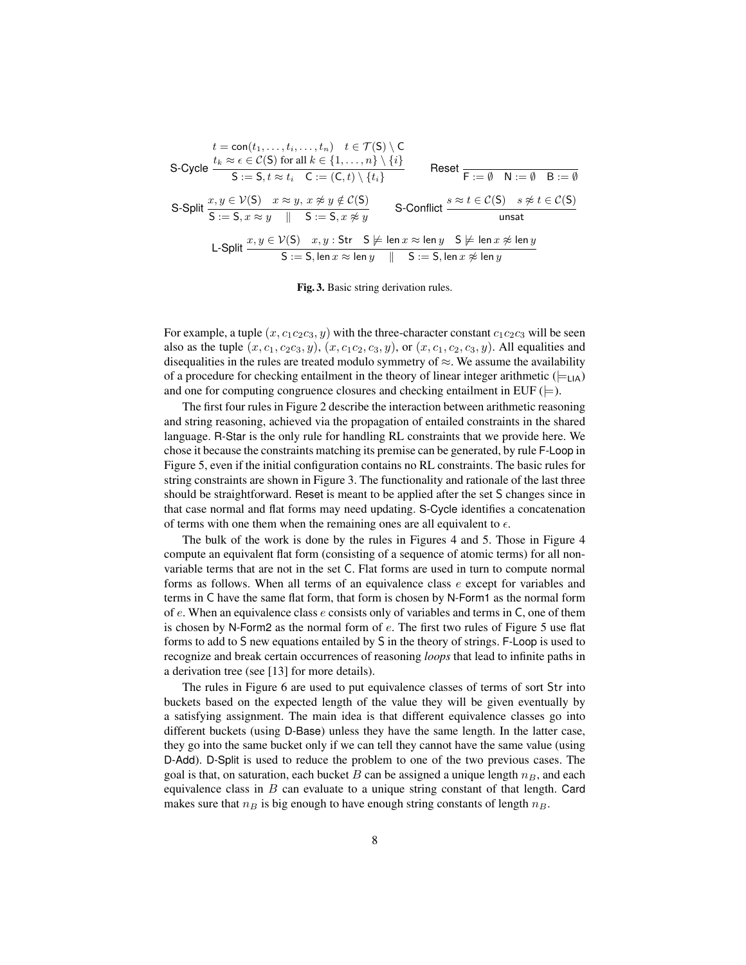$$
t = \text{con}(t_1, \ldots, t_i, \ldots, t_n) \quad t \in \mathcal{T}(\mathsf{S}) \setminus \mathsf{C}
$$
\n
$$
\text{S-Cycle } \frac{t_k \approx \epsilon \in \mathcal{C}(\mathsf{S}) \text{ for all } k \in \{1, \ldots, n\} \setminus \{i\}}{\mathsf{S} := \mathsf{S}, t \approx t_i \quad \mathsf{C} := (\mathsf{C}, t) \setminus \{t_i\}} \qquad \text{Reset } \frac{}{\mathsf{F} := \emptyset \quad \mathsf{N} := \emptyset \quad \mathsf{B} := \emptyset}
$$
\n
$$
\text{S-Split } \frac{x, y \in \mathcal{V}(\mathsf{S}) \quad x \approx y, \ x \not\approx y \notin \mathcal{C}(\mathsf{S})}{\mathsf{S} := \mathsf{S}, x \approx y \quad \parallel \quad \mathsf{S} := \mathsf{S}, x \not\approx y} \qquad \text{S-Conflict } \frac{s \approx t \in \mathcal{C}(\mathsf{S}) \quad s \not\approx t \in \mathcal{C}(\mathsf{S})}{\text{unsat}}
$$
\n
$$
\text{L-Split } \frac{x, y \in \mathcal{V}(\mathsf{S}) \quad x, y : \mathsf{Str} \quad \mathsf{S} \not\models \text{len } x \approx \text{len } y \quad \mathsf{S} \not\equiv \text{len } x \not\approx \text{len } y}{\mathsf{S} := \mathsf{S}, \text{len } x \approx \text{len } y \quad \parallel \quad \mathsf{S} := \mathsf{S}, \text{len } x \not\approx \text{len } y}
$$

Fig. 3. Basic string derivation rules.

For example, a tuple  $(x, c_1c_2c_3, y)$  with the three-character constant  $c_1c_2c_3$  will be seen also as the tuple  $(x, c_1, c_2c_3, y)$ ,  $(x, c_1c_2, c_3, y)$ , or  $(x, c_1, c_2, c_3, y)$ . All equalities and disequalities in the rules are treated modulo symmetry of  $\approx$ . We assume the availability of a procedure for checking entailment in the theory of linear integer arithmetic ( $\models$ LIA) and one for computing congruence closures and checking entailment in EUF ( $\models$ ).

The first four rules in Figure 2 describe the interaction between arithmetic reasoning and string reasoning, achieved via the propagation of entailed constraints in the shared language. R-Star is the only rule for handling RL constraints that we provide here. We chose it because the constraints matching its premise can be generated, by rule F-Loop in Figure 5, even if the initial configuration contains no RL constraints. The basic rules for string constraints are shown in Figure 3. The functionality and rationale of the last three should be straightforward. Reset is meant to be applied after the set S changes since in that case normal and flat forms may need updating. S-Cycle identifies a concatenation of terms with one them when the remaining ones are all equivalent to  $\epsilon$ .

The bulk of the work is done by the rules in Figures 4 and 5. Those in Figure 4 compute an equivalent flat form (consisting of a sequence of atomic terms) for all nonvariable terms that are not in the set C. Flat forms are used in turn to compute normal forms as follows. When all terms of an equivalence class e except for variables and terms in C have the same flat form, that form is chosen by N-Form1 as the normal form of e. When an equivalence class  $e$  consists only of variables and terms in  $\mathsf{C}$ , one of them is chosen by N-Form2 as the normal form of e. The first two rules of Figure 5 use flat forms to add to S new equations entailed by S in the theory of strings. F-Loop is used to recognize and break certain occurrences of reasoning *loops* that lead to infinite paths in a derivation tree (see [13] for more details).

The rules in Figure 6 are used to put equivalence classes of terms of sort Str into buckets based on the expected length of the value they will be given eventually by a satisfying assignment. The main idea is that different equivalence classes go into different buckets (using D-Base) unless they have the same length. In the latter case, they go into the same bucket only if we can tell they cannot have the same value (using D-Add). D-Split is used to reduce the problem to one of the two previous cases. The goal is that, on saturation, each bucket B can be assigned a unique length  $n_B$ , and each equivalence class in  $B$  can evaluate to a unique string constant of that length. Card makes sure that  $n_B$  is big enough to have enough string constants of length  $n_B$ .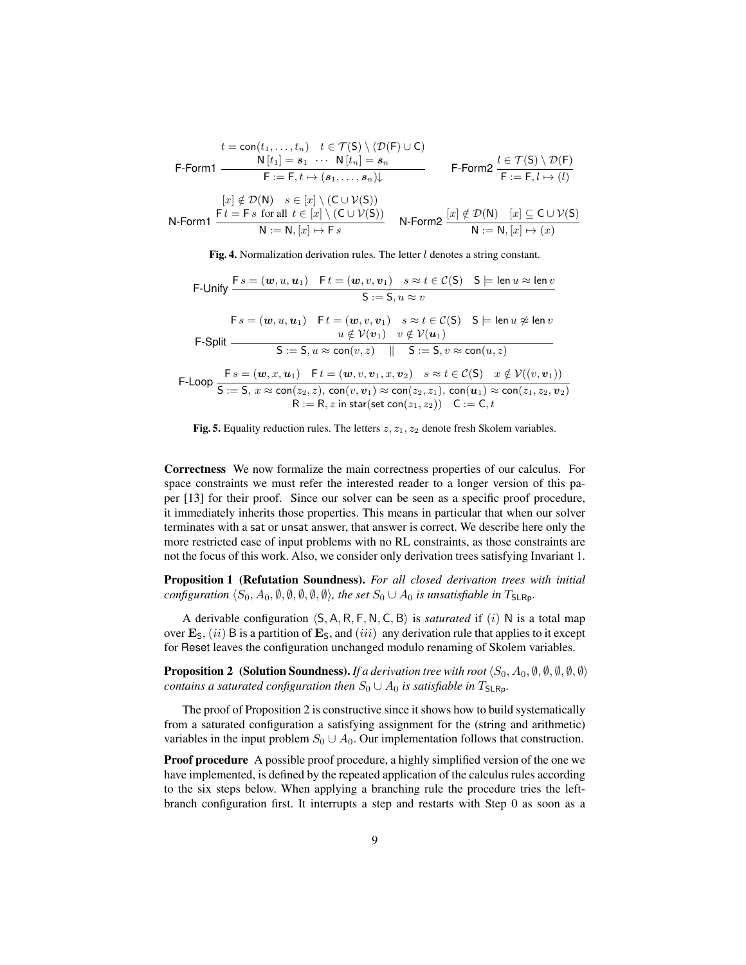$$
t = \text{con}(t_1, \ldots, t_n) \quad t \in \mathcal{T}(\mathsf{S}) \setminus (\mathcal{D}(\mathsf{F}) \cup \mathsf{C})
$$
\n
$$
\mathsf{F}\text{-}\mathsf{Form1} \xrightarrow{\qquad \qquad N \ [t_1] = s_1 \ \cdots \ N \ [t_n] = s_n} \qquad \qquad \mathsf{F}\text{-}\mathsf{Form2} \xrightarrow{l \in \mathcal{T}(\mathsf{S}) \setminus \mathcal{D}(\mathsf{F})} \mathsf{F} := \mathsf{F}, l \mapsto (l)
$$
\n
$$
\begin{array}{ll}\n[x] \notin \mathcal{D}(\mathsf{N}) \quad s \in [x] \setminus (\mathsf{C} \cup \mathcal{V}(\mathsf{S})) \\
\qquad \qquad \qquad \mathsf{N}\text{-}\mathsf{Form1} \xrightarrow{\mathsf{F}t = \mathsf{F} \ s \ \text{for all} \ t \in [x] \setminus (\mathsf{C} \cup \mathcal{V}(\mathsf{S}))} \mathsf{N}\text{-}\mathsf{Form2} \xrightarrow{[x] \notin \mathcal{D}(\mathsf{N}) \quad [x] \subseteq \mathsf{C} \cup \mathcal{V}(\mathsf{S})} \mathsf{N} := \mathsf{N}, [x] \mapsto \mathsf{F} \end{array}
$$

Fig. 4. Normalization derivation rules. The letter  $l$  denotes a string constant.

F-Unify 
$$
\frac{F s = (w, u, u_1) F t = (w, v, v_1) s \approx t \in \mathcal{C}(S) S \models \text{len } u \approx \text{len } v}{S := S, u \approx v}
$$
  
\n
$$
F s = (w, u, u_1) F t = (w, v, v_1) s \approx t \in \mathcal{C}(S) S \models \text{len } u \not\approx \text{len } v
$$
  
\nF-Split 
$$
\frac{u \notin \mathcal{V}(v_1) v \notin \mathcal{V}(u_1)}{S := S, u \approx \text{con}(v, z) || S := S, v \approx \text{con}(u, z)}
$$
  
\nF-Loop 
$$
\frac{F s = (w, x, u_1) F t = (w, v, v_1, x, v_2) s \approx t \in \mathcal{C}(S) x \notin \mathcal{V}((v, v_1))}{S := S, x \approx \text{con}(z_2, z), \text{con}(v, v_1) \approx \text{con}(z_2, z_1), \text{con}(u_1) \approx \text{con}(z_1, z_2, v_2)}
$$
  
\n
$$
R := R, z \text{ in star}(\text{set } \text{con}(z_1, z_2)) C := C, t
$$

Fig. 5. Equality reduction rules. The letters  $z$ ,  $z_1$ ,  $z_2$  denote fresh Skolem variables.

Correctness We now formalize the main correctness properties of our calculus. For space constraints we must refer the interested reader to a longer version of this paper [13] for their proof. Since our solver can be seen as a specific proof procedure, it immediately inherits those properties. This means in particular that when our solver terminates with a sat or unsat answer, that answer is correct. We describe here only the more restricted case of input problems with no RL constraints, as those constraints are not the focus of this work. Also, we consider only derivation trees satisfying Invariant 1.

Proposition 1 (Refutation Soundness). *For all closed derivation trees with initial configuration*  $\langle S_0, A_0, \emptyset, \emptyset, \emptyset, \emptyset, \emptyset \rangle$ *, the set*  $S_0 \cup A_0$  *is unsatisfiable in*  $T_{SLRp}$ *.* 

A derivable configuration  $\langle S, A, R, F, N, C, B \rangle$  is *saturated* if (i) N is a total map over  $\mathbf{E}_5$ , (ii) B is a partition of  $\mathbf{E}_5$ , and (iii) any derivation rule that applies to it except for Reset leaves the configuration unchanged modulo renaming of Skolem variables.

**Proposition 2** (Solution Soundness). *If a derivation tree with root*  $\langle S_0, A_0, \emptyset, \emptyset, \emptyset, \emptyset, \emptyset \rangle$ *contains a saturated configuration then*  $S_0 \cup A_0$  *is satisfiable in*  $T_{\text{SLRp}}$ *.* 

The proof of Proposition 2 is constructive since it shows how to build systematically from a saturated configuration a satisfying assignment for the (string and arithmetic) variables in the input problem  $S_0 \cup A_0$ . Our implementation follows that construction.

Proof procedure A possible proof procedure, a highly simplified version of the one we have implemented, is defined by the repeated application of the calculus rules according to the six steps below. When applying a branching rule the procedure tries the leftbranch configuration first. It interrupts a step and restarts with Step 0 as soon as a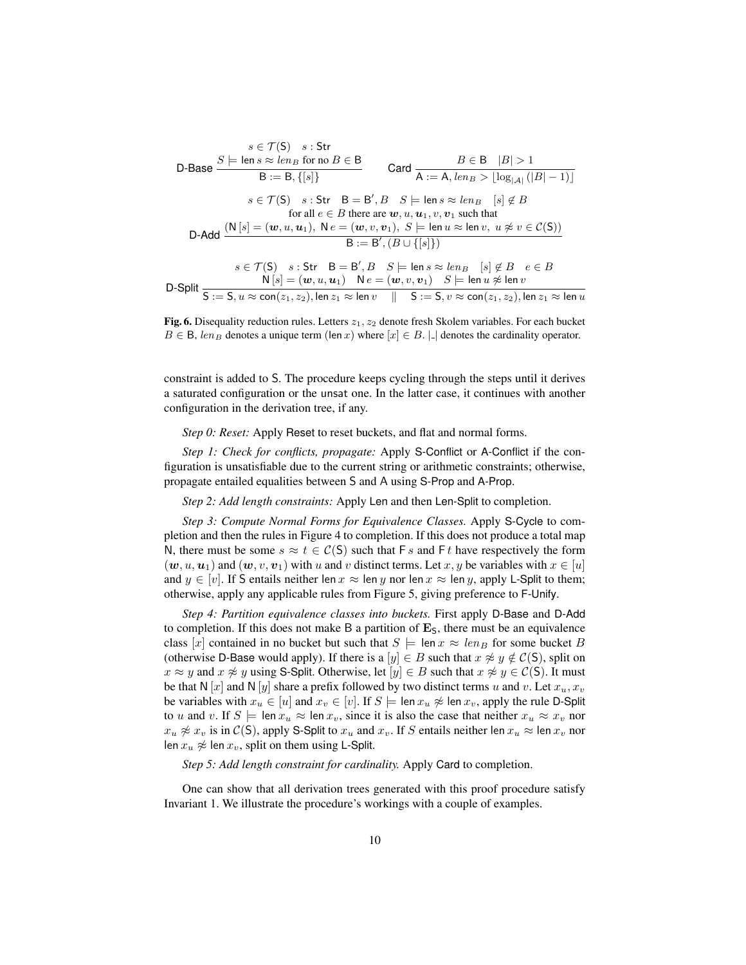$$
s \in \mathcal{T}(\mathsf{S}) \quad s : \mathsf{Str}
$$
\n
$$
\mathsf{D}\text{-Base } \frac{S \models \mathsf{len}\ s \approx \mathit{len}\ B \text{ for no } B \in \mathsf{B}}{\mathsf{B} := \mathsf{B}, \{[s]\}} \quad \text{Card } \frac{B \in \mathsf{B} \quad |B| > 1}{\mathsf{A} := \mathsf{A}, \mathit{len}\ B \geq |\log_{|\mathcal{A}|}(|B| - 1)]}
$$
\n
$$
s \in \mathcal{T}(\mathsf{S}) \quad s : \mathsf{Str} \quad \mathsf{B} = \mathsf{B}', B \quad S \models \mathsf{len}\ s \approx \mathit{len}\ B \quad [s] \notin B \quad \text{for all } e \in B \text{ there are } \mathsf{w}, u, \mathsf{u}_1, v, \mathsf{v}_1 \text{ such that}
$$
\n
$$
\mathsf{D}\text{-Add } \frac{(\mathsf{N}[s] = (\mathsf{w}, u, \mathsf{u}_1), \ \mathsf{N}\ e = (\mathsf{w}, v, \mathsf{v}_1), \ S \models \mathsf{len}\ u \approx \mathsf{len}\ v, \ u \not\approx v \in \mathcal{C}(\mathsf{S}))}{\mathsf{B} := \mathsf{B}', B \quad S \models \mathsf{len}\ s \approx \mathit{len}\ B \quad [s] \notin B \quad e \in B \quad \text{D}\text{-Split}
$$
\n
$$
\frac{\mathsf{N}[s] = (\mathsf{w}, u, \mathsf{u}_1) \quad \mathsf{N}\ e = (\mathsf{w}, v, \mathsf{v}_1) \quad S \models \mathsf{len}\ u \not\approx \mathsf{len}\ v}{\mathsf{S} := \mathsf{S}, u \approx \mathsf{con}(z_1, z_2), \mathsf{len}\ z_1 \approx \mathsf{len}\ v} \quad \mathsf{S} := \mathsf{S}, v \approx \mathsf{con}(z_1, z_2), \mathsf{len}\ z_1 \approx \mathsf{len}\ u
$$

Fig. 6. Disequality reduction rules. Letters  $z_1$ ,  $z_2$  denote fresh Skolem variables. For each bucket  $B \in \mathsf{B}$ , len<sub>B</sub> denotes a unique term (len x) where  $[x] \in B$ . | denotes the cardinality operator.

constraint is added to S. The procedure keeps cycling through the steps until it derives a saturated configuration or the unsat one. In the latter case, it continues with another configuration in the derivation tree, if any.

*Step 0: Reset:* Apply Reset to reset buckets, and flat and normal forms.

*Step 1: Check for conflicts, propagate:* Apply S-Conflict or A-Conflict if the configuration is unsatisfiable due to the current string or arithmetic constraints; otherwise, propagate entailed equalities between S and A using S-Prop and A-Prop.

*Step 2: Add length constraints:* Apply Len and then Len-Split to completion.

*Step 3: Compute Normal Forms for Equivalence Classes.* Apply S-Cycle to completion and then the rules in Figure 4 to completion. If this does not produce a total map N, there must be some  $s \approx t \in C(S)$  such that F s and F t have respectively the form  $(w, u, u_1)$  and  $(w, v, v_1)$  with u and v distinct terms. Let x, y be variables with  $x \in [u]$ and  $y \in [v]$ . If S entails neither len  $x \approx \text{len } y$  nor len  $x \approx \text{len } y$ , apply L-Split to them; otherwise, apply any applicable rules from Figure 5, giving preference to F-Unify.

*Step 4: Partition equivalence classes into buckets.* First apply D-Base and D-Add to completion. If this does not make  $B$  a partition of  $E<sub>S</sub>$ , there must be an equivalence class [x] contained in no bucket but such that  $S \models \text{len } x \approx \text{len } B$  for some bucket B (otherwise D-Base would apply). If there is a  $[y] \in B$  such that  $x \not\approx y \notin C(S)$ , split on  $x \approx y$  and  $x \not\approx y$  using S-Split. Otherwise, let  $[y] \in B$  such that  $x \not\approx y \in C(S)$ . It must be that N |x| and N |y| share a prefix followed by two distinct terms u and v. Let  $x_u, x_v$ be variables with  $x_u \in [u]$  and  $x_v \in [v]$ . If  $S \models \text{len } x_u \not\approx \text{len } x_v$ , apply the rule D-Split to u and v. If  $S \models \text{len } x_u \approx \text{len } x_v$ , since it is also the case that neither  $x_u \approx x_v$  nor  $x_u \not\approx x_v$  is in  $\mathcal{C}(S)$ , apply S-Split to  $x_u$  and  $x_v$ . If S entails neither len  $x_u \approx \text{len } x_v$  nor len  $x_u \not\approx$  len  $x_v$ , split on them using L-Split.

*Step 5: Add length constraint for cardinality.* Apply Card to completion.

One can show that all derivation trees generated with this proof procedure satisfy Invariant 1. We illustrate the procedure's workings with a couple of examples.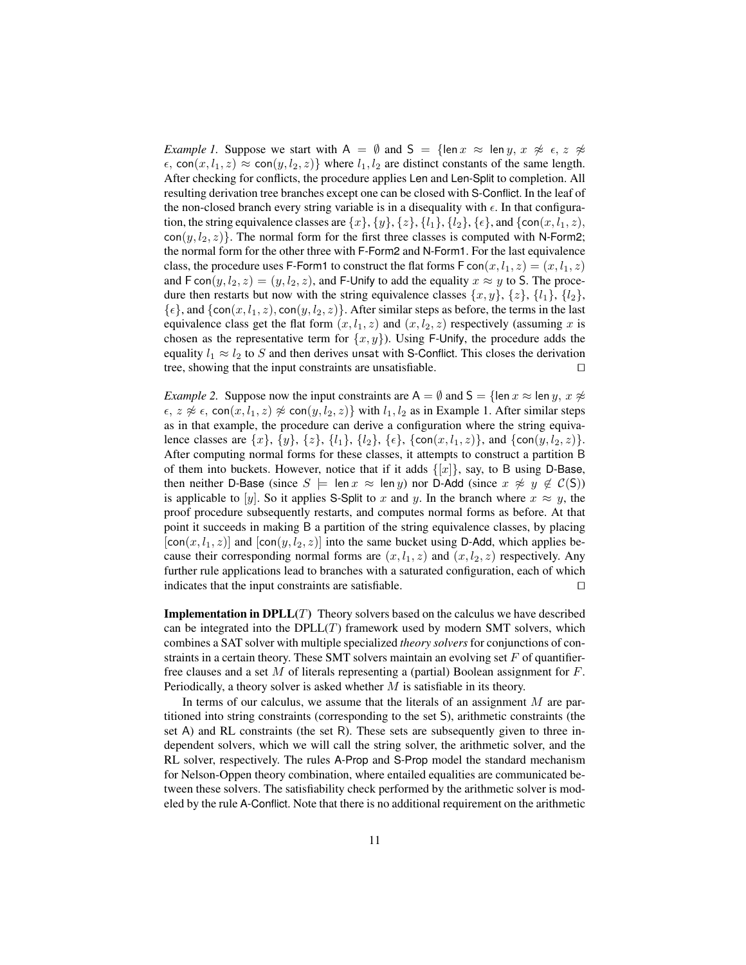*Example 1.* Suppose we start with  $A = \emptyset$  and  $S = \{\text{len } x \approx \text{len } y, x \not\approx \epsilon, z \not\approx \epsilon\}$  $\epsilon$ , con $(x, l_1, z) \approx$  con $(y, l_2, z)$ } where  $l_1, l_2$  are distinct constants of the same length. After checking for conflicts, the procedure applies Len and Len-Split to completion. All resulting derivation tree branches except one can be closed with S-Conflict. In the leaf of the non-closed branch every string variable is in a disequality with  $\epsilon$ . In that configuration, the string equivalence classes are  $\{x\}$ ,  $\{y\}$ ,  $\{z\}$ ,  $\{l_1\}$ ,  $\{l_2\}$ ,  $\{\epsilon\}$ , and  $\{\text{con}(x, l_1, z)$ ,  $con(y, l_2, z)$ . The normal form for the first three classes is computed with N-Form2; the normal form for the other three with F-Form2 and N-Form1. For the last equivalence class, the procedure uses F-Form1 to construct the flat forms F con $(x, l_1, z) = (x, l_1, z)$ and  $F \text{con}(y, l_2, z) = (y, l_2, z)$ , and F-Unify to add the equality  $x \approx y$  to S. The procedure then restarts but now with the string equivalence classes  $\{x, y\}$ ,  $\{z\}$ ,  $\{l_1\}$ ,  $\{l_2\}$ ,  $\{\epsilon\}$ , and  $\{\textsf{con}(x, l_1, z), \textsf{con}(y, l_2, z)\}$ . After similar steps as before, the terms in the last equivalence class get the flat form  $(x, l_1, z)$  and  $(x, l_2, z)$  respectively (assuming x is chosen as the representative term for  $\{x, y\}$ ). Using F-Unify, the procedure adds the equality  $l_1 \approx l_2$  to S and then derives unsat with S-Conflict. This closes the derivation tree, showing that the input constraints are unsatisfiable.  $\Box$ 

*Example 2.* Suppose now the input constraints are  $A = \emptyset$  and  $S = \{\text{len } x \approx \text{len } y, x \not\approx \text{len } y\}$  $\epsilon, z \not\approx \epsilon$ , con $(x, l_1, z) \not\approx$  con $(y, l_2, z)$  with  $l_1, l_2$  as in Example 1. After similar steps as in that example, the procedure can derive a configuration where the string equivalence classes are  $\{x\}$ ,  $\{y\}$ ,  $\{z\}$ ,  $\{l_1\}$ ,  $\{l_2\}$ ,  $\{\epsilon\}$ ,  $\{\text{con}(x, l_1, z)\}$ , and  $\{\text{con}(y, l_2, z)\}$ . After computing normal forms for these classes, it attempts to construct a partition B of them into buckets. However, notice that if it adds  $\{[x]\}\$ , say, to B using D-Base, then neither D-Base (since  $S \models \text{len } x \approx \text{len } y$ ) nor D-Add (since  $x \not\approx y \not\in C(S)$ ) is applicable to [y]. So it applies S-Split to x and y. In the branch where  $x \approx y$ , the proof procedure subsequently restarts, and computes normal forms as before. At that point it succeeds in making B a partition of the string equivalence classes, by placing  $[con(x, l_1, z)]$  and  $[con(y, l_2, z)]$  into the same bucket using D-Add, which applies because their corresponding normal forms are  $(x, l_1, z)$  and  $(x, l_2, z)$  respectively. Any further rule applications lead to branches with a saturated configuration, each of which indicates that the input constraints are satisfiable.  $\Box$ 

**Implementation in DPLL** $(T)$  Theory solvers based on the calculus we have described can be integrated into the  $DPLL(T)$  framework used by modern SMT solvers, which combines a SAT solver with multiple specialized *theory solvers* for conjunctions of constraints in a certain theory. These SMT solvers maintain an evolving set  $F$  of quantifierfree clauses and a set M of literals representing a (partial) Boolean assignment for  $F$ . Periodically, a theory solver is asked whether M is satisfiable in its theory.

In terms of our calculus, we assume that the literals of an assignment  $M$  are partitioned into string constraints (corresponding to the set S), arithmetic constraints (the set A) and RL constraints (the set R). These sets are subsequently given to three independent solvers, which we will call the string solver, the arithmetic solver, and the RL solver, respectively. The rules A-Prop and S-Prop model the standard mechanism for Nelson-Oppen theory combination, where entailed equalities are communicated between these solvers. The satisfiability check performed by the arithmetic solver is modeled by the rule A-Conflict. Note that there is no additional requirement on the arithmetic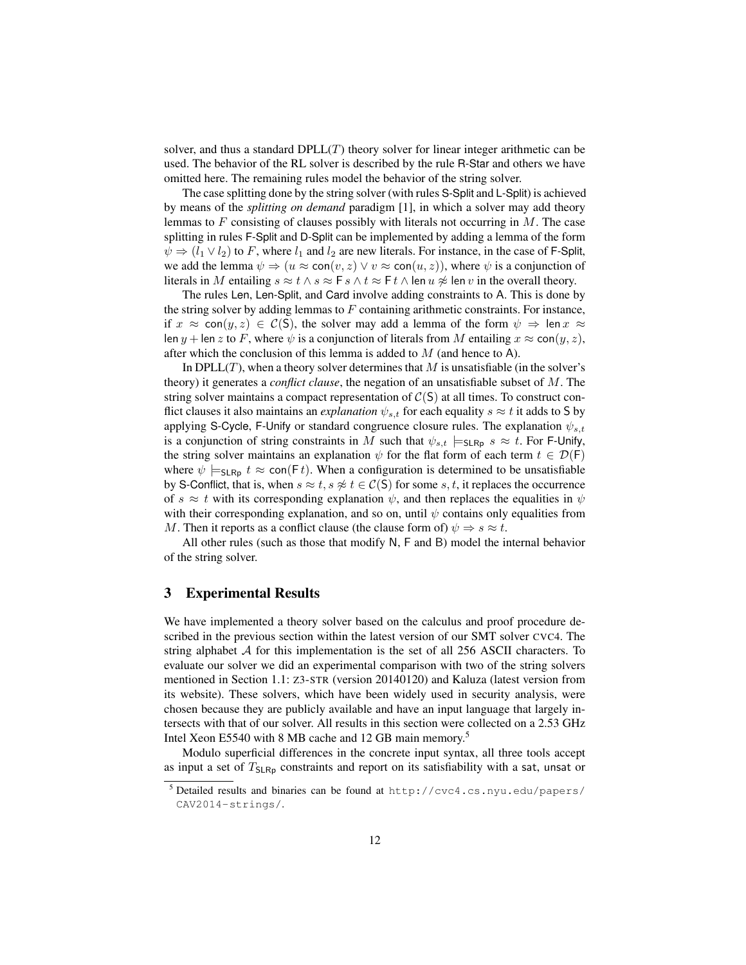solver, and thus a standard  $DPLL(T)$  theory solver for linear integer arithmetic can be used. The behavior of the RL solver is described by the rule R-Star and others we have omitted here. The remaining rules model the behavior of the string solver.

The case splitting done by the string solver (with rules S-Split and L-Split) is achieved by means of the *splitting on demand* paradigm [1], in which a solver may add theory lemmas to  $F$  consisting of clauses possibly with literals not occurring in  $M$ . The case splitting in rules F-Split and D-Split can be implemented by adding a lemma of the form  $\psi \Rightarrow (l_1 \vee l_2)$  to F, where  $l_1$  and  $l_2$  are new literals. For instance, in the case of F-Split, we add the lemma  $\psi \Rightarrow (u \approx \text{con}(v, z) \lor v \approx \text{con}(u, z))$ , where  $\psi$  is a conjunction of literals in M entailing  $s \approx t \land s \approx \textsf{F} s \land t \approx \textsf{F} t \land \textsf{len } u \not\approx \textsf{len } v$  in the overall theory.

The rules Len, Len-Split, and Card involve adding constraints to A. This is done by the string solver by adding lemmas to  $F$  containing arithmetic constraints. For instance, if  $x \approx \text{con}(y, z) \in \mathcal{C}(\mathsf{S})$ , the solver may add a lemma of the form  $\psi \Rightarrow \text{len } x \approx$ len y + len z to F, where  $\psi$  is a conjunction of literals from M entailing  $x \approx \text{con}(y, z)$ , after which the conclusion of this lemma is added to M (and hence to A).

In DPLL $(T)$ , when a theory solver determines that M is unsatisfiable (in the solver's theory) it generates a *conflict clause*, the negation of an unsatisfiable subset of M. The string solver maintains a compact representation of  $C(S)$  at all times. To construct conflict clauses it also maintains an *explanation*  $\psi_{s,t}$  for each equality  $s \approx t$  it adds to S by applying S-Cycle, F-Unify or standard congruence closure rules. The explanation  $\psi_{s,t}$ is a conjunction of string constraints in M such that  $\psi_{s,t} \models_{SLRp} s \approx t$ . For F-Unify, the string solver maintains an explanation  $\psi$  for the flat form of each term  $t \in \mathcal{D}(F)$ where  $\psi \models_{SLRp} t \approx \text{con}(F t)$ . When a configuration is determined to be unsatisfiable by S-Conflict, that is, when  $s \approx t$ ,  $s \not\approx t \in C(S)$  for some s, t, it replaces the occurrence of  $s \approx t$  with its corresponding explanation  $\psi$ , and then replaces the equalities in  $\psi$ with their corresponding explanation, and so on, until  $\psi$  contains only equalities from M. Then it reports as a conflict clause (the clause form of)  $\psi \Rightarrow s \approx t$ .

All other rules (such as those that modify N, F and B) model the internal behavior of the string solver.

### 3 Experimental Results

We have implemented a theory solver based on the calculus and proof procedure described in the previous section within the latest version of our SMT solver CVC4. The string alphabet  $A$  for this implementation is the set of all 256 ASCII characters. To evaluate our solver we did an experimental comparison with two of the string solvers mentioned in Section 1.1: Z3-STR (version 20140120) and Kaluza (latest version from its website). These solvers, which have been widely used in security analysis, were chosen because they are publicly available and have an input language that largely intersects with that of our solver. All results in this section were collected on a 2.53 GHz Intel Xeon E5540 with 8 MB cache and 12 GB main memory.<sup>5</sup>

Modulo superficial differences in the concrete input syntax, all three tools accept as input a set of  $T_{SLRp}$  constraints and report on its satisfiability with a sat, unsat or

<sup>5</sup> Detailed results and binaries can be found at http://cvc4.cs.nyu.edu/papers/ CAV2014-strings/.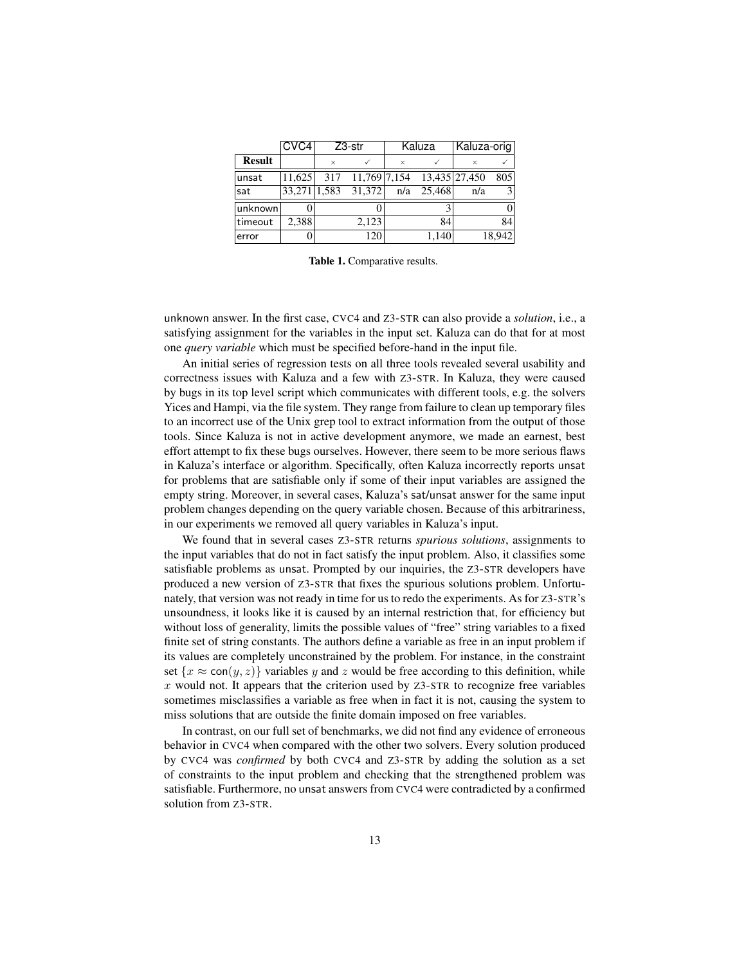|               | CVC4         | Z3-str   |                                | Kaluza   |        | Kaluza-orig |        |
|---------------|--------------|----------|--------------------------------|----------|--------|-------------|--------|
| <b>Result</b> |              | $\times$ |                                | $\times$ |        | $\times$    |        |
| unsat         | 11,625       |          | 317 11,769 7,154 13,435 27,450 |          |        |             | 805    |
| sat           | 33,271 1,583 |          | 31,372                         | n/a      | 25,468 | n/a         | 3      |
| unknown       |              |          |                                |          |        |             | 0      |
| timeout       | 2,388        |          | 2,123                          |          | 84     |             | 84     |
| error         |              |          | 120                            |          | 1,140  |             | 18,942 |

Table 1. Comparative results.

unknown answer. In the first case, CVC4 and Z3-STR can also provide a *solution*, i.e., a satisfying assignment for the variables in the input set. Kaluza can do that for at most one *query variable* which must be specified before-hand in the input file.

An initial series of regression tests on all three tools revealed several usability and correctness issues with Kaluza and a few with Z3-STR. In Kaluza, they were caused by bugs in its top level script which communicates with different tools, e.g. the solvers Yices and Hampi, via the file system. They range from failure to clean up temporary files to an incorrect use of the Unix grep tool to extract information from the output of those tools. Since Kaluza is not in active development anymore, we made an earnest, best effort attempt to fix these bugs ourselves. However, there seem to be more serious flaws in Kaluza's interface or algorithm. Specifically, often Kaluza incorrectly reports unsat for problems that are satisfiable only if some of their input variables are assigned the empty string. Moreover, in several cases, Kaluza's sat/unsat answer for the same input problem changes depending on the query variable chosen. Because of this arbitrariness, in our experiments we removed all query variables in Kaluza's input.

We found that in several cases Z3-STR returns *spurious solutions*, assignments to the input variables that do not in fact satisfy the input problem. Also, it classifies some satisfiable problems as unsat. Prompted by our inquiries, the Z3-STR developers have produced a new version of Z3-STR that fixes the spurious solutions problem. Unfortunately, that version was not ready in time for us to redo the experiments. As for Z3-STR's unsoundness, it looks like it is caused by an internal restriction that, for efficiency but without loss of generality, limits the possible values of "free" string variables to a fixed finite set of string constants. The authors define a variable as free in an input problem if its values are completely unconstrained by the problem. For instance, in the constraint set  $\{x \approx \text{con}(y, z)\}\$  variables y and z would be free according to this definition, while  $x$  would not. It appears that the criterion used by  $Z3-STR$  to recognize free variables sometimes misclassifies a variable as free when in fact it is not, causing the system to miss solutions that are outside the finite domain imposed on free variables.

In contrast, on our full set of benchmarks, we did not find any evidence of erroneous behavior in CVC4 when compared with the other two solvers. Every solution produced by CVC4 was *confirmed* by both CVC4 and Z3-STR by adding the solution as a set of constraints to the input problem and checking that the strengthened problem was satisfiable. Furthermore, no unsat answers from CVC4 were contradicted by a confirmed solution from Z3-STR.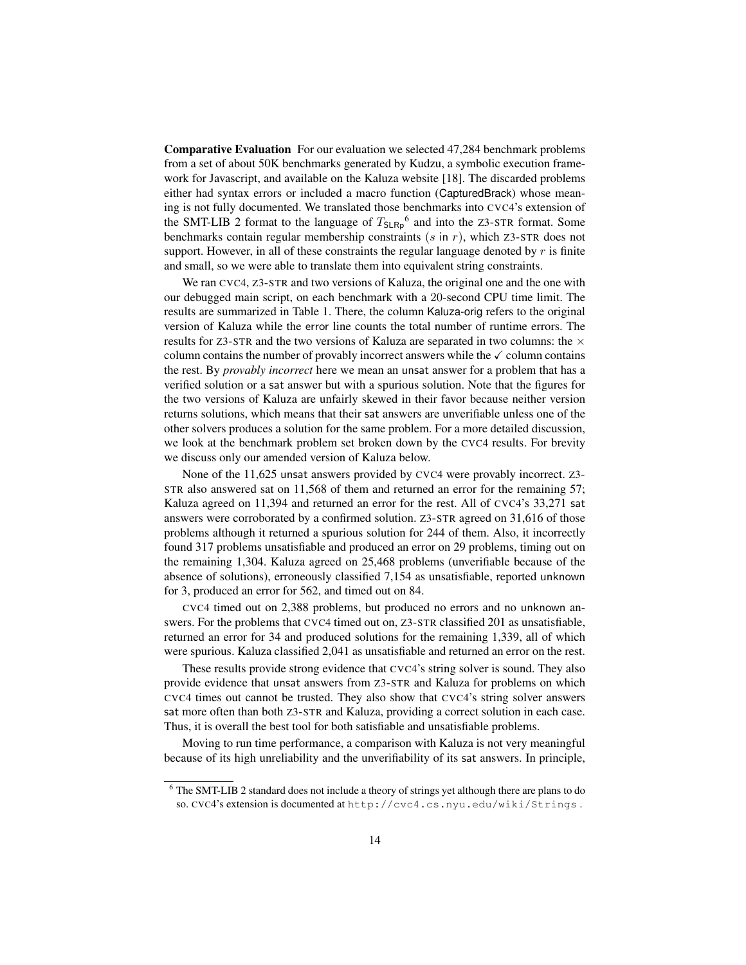Comparative Evaluation For our evaluation we selected 47,284 benchmark problems from a set of about 50K benchmarks generated by Kudzu, a symbolic execution framework for Javascript, and available on the Kaluza website [18]. The discarded problems either had syntax errors or included a macro function (CapturedBrack) whose meaning is not fully documented. We translated those benchmarks into CVC4's extension of the SMT-LIB 2 format to the language of  $T_{SLRp}^6$  and into the  $Z3$ -STR format. Some benchmarks contain regular membership constraints  $(s \text{ in } r)$ , which Z3-STR does not support. However, in all of these constraints the regular language denoted by  $r$  is finite and small, so we were able to translate them into equivalent string constraints.

We ran CVC4, Z3-STR and two versions of Kaluza, the original one and the one with our debugged main script, on each benchmark with a 20-second CPU time limit. The results are summarized in Table 1. There, the column Kaluza-orig refers to the original version of Kaluza while the error line counts the total number of runtime errors. The results for Z3-STR and the two versions of Kaluza are separated in two columns: the  $\times$ column contains the number of provably incorrect answers while the  $\checkmark$  column contains the rest. By *provably incorrect* here we mean an unsat answer for a problem that has a verified solution or a sat answer but with a spurious solution. Note that the figures for the two versions of Kaluza are unfairly skewed in their favor because neither version returns solutions, which means that their sat answers are unverifiable unless one of the other solvers produces a solution for the same problem. For a more detailed discussion, we look at the benchmark problem set broken down by the CVC4 results. For brevity we discuss only our amended version of Kaluza below.

None of the 11,625 unsat answers provided by CVC4 were provably incorrect. Z3- STR also answered sat on 11,568 of them and returned an error for the remaining 57; Kaluza agreed on 11,394 and returned an error for the rest. All of CVC4's 33,271 sat answers were corroborated by a confirmed solution. Z3-STR agreed on 31,616 of those problems although it returned a spurious solution for 244 of them. Also, it incorrectly found 317 problems unsatisfiable and produced an error on 29 problems, timing out on the remaining 1,304. Kaluza agreed on 25,468 problems (unverifiable because of the absence of solutions), erroneously classified 7,154 as unsatisfiable, reported unknown for 3, produced an error for 562, and timed out on 84.

CVC4 timed out on 2,388 problems, but produced no errors and no unknown answers. For the problems that CVC4 timed out on, Z3-STR classified 201 as unsatisfiable, returned an error for 34 and produced solutions for the remaining 1,339, all of which were spurious. Kaluza classified 2,041 as unsatisfiable and returned an error on the rest.

These results provide strong evidence that CVC4's string solver is sound. They also provide evidence that unsat answers from Z3-STR and Kaluza for problems on which CVC4 times out cannot be trusted. They also show that CVC4's string solver answers sat more often than both Z3-STR and Kaluza, providing a correct solution in each case. Thus, it is overall the best tool for both satisfiable and unsatisfiable problems.

Moving to run time performance, a comparison with Kaluza is not very meaningful because of its high unreliability and the unverifiability of its sat answers. In principle,

<sup>6</sup> The SMT-LIB 2 standard does not include a theory of strings yet although there are plans to do so. CVC4's extension is documented at http://cvc4.cs.nyu.edu/wiki/Strings .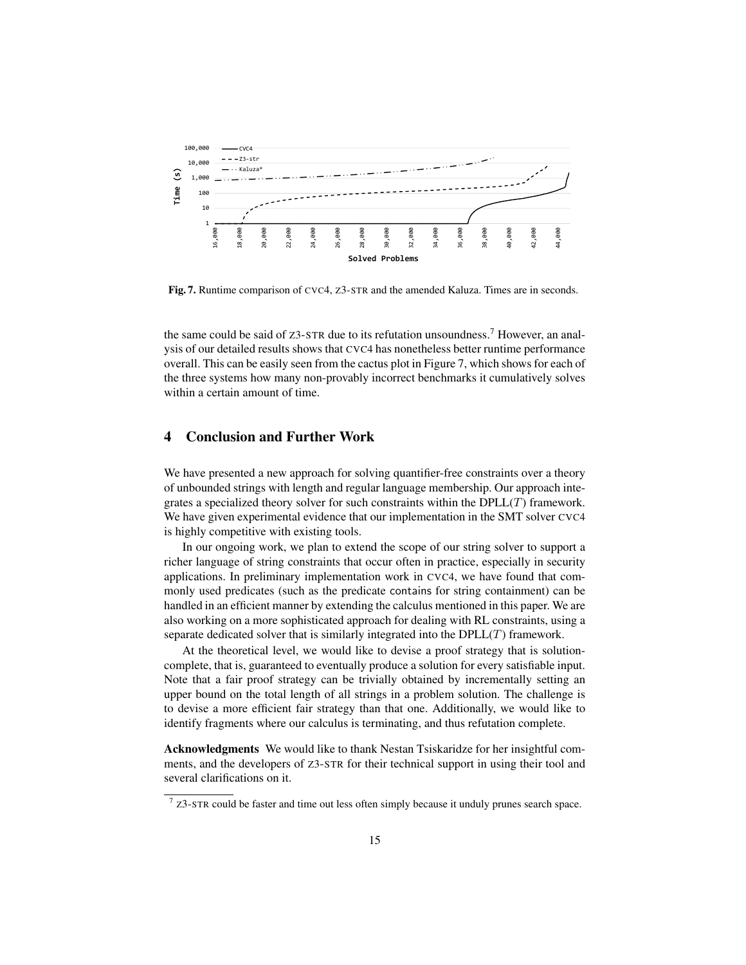

Fig. 7. Runtime comparison of CVC4, Z3-STR and the amended Kaluza. Times are in seconds.

the same could be said of  $Z3$ -STR due to its refutation unsoundness.<sup>7</sup> However, an analysis of our detailed results shows that CVC4 has nonetheless better runtime performance overall. This can be easily seen from the cactus plot in Figure 7, which shows for each of the three systems how many non-provably incorrect benchmarks it cumulatively solves within a certain amount of time.

# 4 Conclusion and Further Work

We have presented a new approach for solving quantifier-free constraints over a theory of unbounded strings with length and regular language membership. Our approach integrates a specialized theory solver for such constraints within the  $DPLL(T)$  framework. We have given experimental evidence that our implementation in the SMT solver CVC4 is highly competitive with existing tools.

In our ongoing work, we plan to extend the scope of our string solver to support a richer language of string constraints that occur often in practice, especially in security applications. In preliminary implementation work in CVC4, we have found that commonly used predicates (such as the predicate contains for string containment) can be handled in an efficient manner by extending the calculus mentioned in this paper. We are also working on a more sophisticated approach for dealing with RL constraints, using a separate dedicated solver that is similarly integrated into the  $DPLL(T)$  framework.

At the theoretical level, we would like to devise a proof strategy that is solutioncomplete, that is, guaranteed to eventually produce a solution for every satisfiable input. Note that a fair proof strategy can be trivially obtained by incrementally setting an upper bound on the total length of all strings in a problem solution. The challenge is to devise a more efficient fair strategy than that one. Additionally, we would like to identify fragments where our calculus is terminating, and thus refutation complete.

Acknowledgments We would like to thank Nestan Tsiskaridze for her insightful comments, and the developers of Z3-STR for their technical support in using their tool and several clarifications on it.

 $7$  Z3-STR could be faster and time out less often simply because it unduly prunes search space.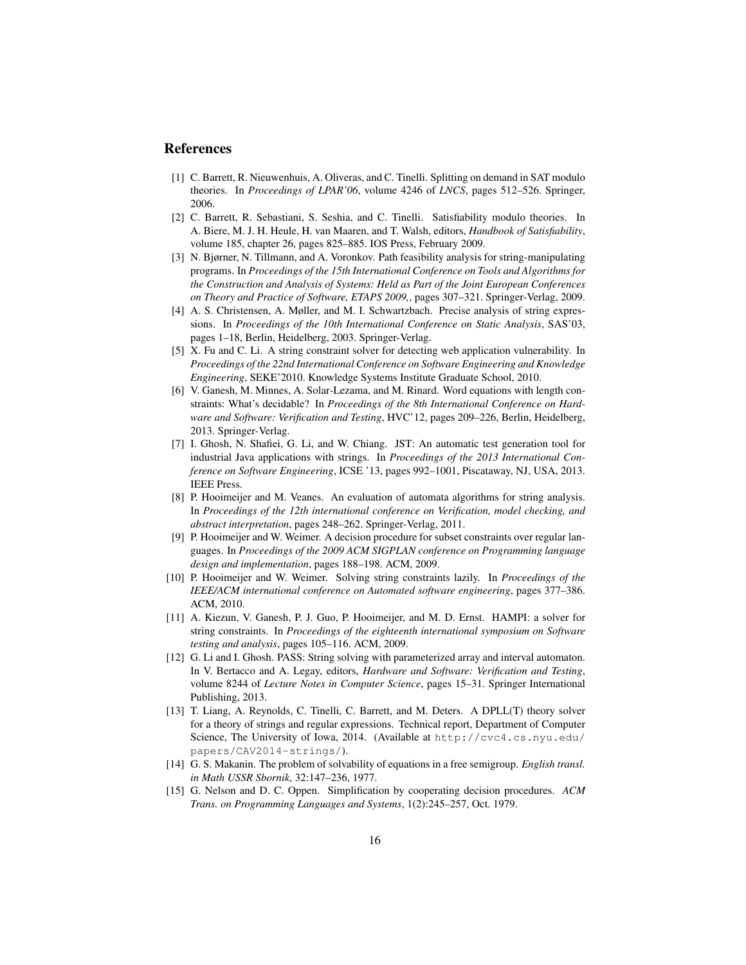# References

- [1] C. Barrett, R. Nieuwenhuis, A. Oliveras, and C. Tinelli. Splitting on demand in SAT modulo theories. In *Proceedings of LPAR'06*, volume 4246 of *LNCS*, pages 512–526. Springer, 2006.
- [2] C. Barrett, R. Sebastiani, S. Seshia, and C. Tinelli. Satisfiability modulo theories. In A. Biere, M. J. H. Heule, H. van Maaren, and T. Walsh, editors, *Handbook of Satisfiability*, volume 185, chapter 26, pages 825–885. IOS Press, February 2009.
- [3] N. Bjørner, N. Tillmann, and A. Voronkov. Path feasibility analysis for string-manipulating programs. In *Proceedings of the 15th International Conference on Tools and Algorithms for the Construction and Analysis of Systems: Held as Part of the Joint European Conferences on Theory and Practice of Software, ETAPS 2009,*, pages 307–321. Springer-Verlag, 2009.
- [4] A. S. Christensen, A. Møller, and M. I. Schwartzbach. Precise analysis of string expressions. In *Proceedings of the 10th International Conference on Static Analysis*, SAS'03, pages 1–18, Berlin, Heidelberg, 2003. Springer-Verlag.
- [5] X. Fu and C. Li. A string constraint solver for detecting web application vulnerability. In *Proceedings of the 22nd International Conference on Software Engineering and Knowledge Engineering*, SEKE'2010. Knowledge Systems Institute Graduate School, 2010.
- [6] V. Ganesh, M. Minnes, A. Solar-Lezama, and M. Rinard. Word equations with length constraints: What's decidable? In *Proceedings of the 8th International Conference on Hardware and Software: Verification and Testing*, HVC'12, pages 209–226, Berlin, Heidelberg, 2013. Springer-Verlag.
- [7] I. Ghosh, N. Shafiei, G. Li, and W. Chiang. JST: An automatic test generation tool for industrial Java applications with strings. In *Proceedings of the 2013 International Conference on Software Engineering*, ICSE '13, pages 992–1001, Piscataway, NJ, USA, 2013. IEEE Press.
- [8] P. Hooimeijer and M. Veanes. An evaluation of automata algorithms for string analysis. In *Proceedings of the 12th international conference on Verification, model checking, and abstract interpretation*, pages 248–262. Springer-Verlag, 2011.
- [9] P. Hooimeijer and W. Weimer. A decision procedure for subset constraints over regular languages. In *Proceedings of the 2009 ACM SIGPLAN conference on Programming language design and implementation*, pages 188–198. ACM, 2009.
- [10] P. Hooimeijer and W. Weimer. Solving string constraints lazily. In *Proceedings of the IEEE/ACM international conference on Automated software engineering*, pages 377–386. ACM, 2010.
- [11] A. Kiezun, V. Ganesh, P. J. Guo, P. Hooimeijer, and M. D. Ernst. HAMPI: a solver for string constraints. In *Proceedings of the eighteenth international symposium on Software testing and analysis*, pages 105–116. ACM, 2009.
- [12] G. Li and I. Ghosh. PASS: String solving with parameterized array and interval automaton. In V. Bertacco and A. Legay, editors, *Hardware and Software: Verification and Testing*, volume 8244 of *Lecture Notes in Computer Science*, pages 15–31. Springer International Publishing, 2013.
- [13] T. Liang, A. Reynolds, C. Tinelli, C. Barrett, and M. Deters. A DPLL(T) theory solver for a theory of strings and regular expressions. Technical report, Department of Computer Science, The University of Iowa, 2014. (Available at http://cvc4.cs.nyu.edu/ papers/CAV2014-strings/).
- [14] G. S. Makanin. The problem of solvability of equations in a free semigroup. *English transl. in Math USSR Sbornik*, 32:147–236, 1977.
- [15] G. Nelson and D. C. Oppen. Simplification by cooperating decision procedures. *ACM Trans. on Programming Languages and Systems*, 1(2):245–257, Oct. 1979.